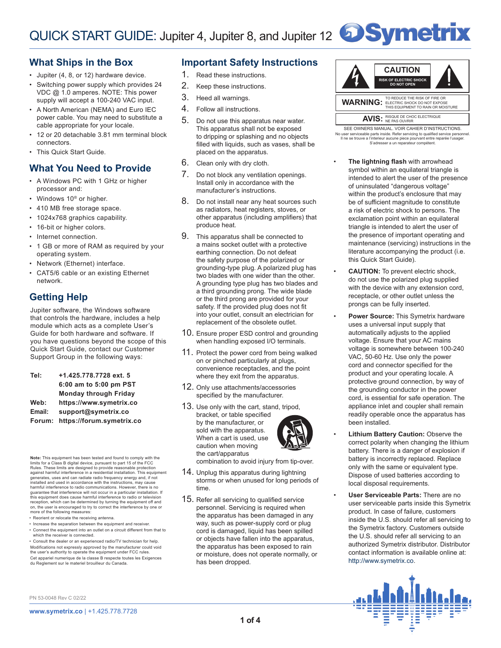# **What Ships in the Box**

- Jupiter (4, 8, or 12) hardware device.
- Switching power supply which provides 24 VDC @ 1.0 amperes. NOTE: This power supply will accept a 100-240 VAC input.
- A North American (NEMA) and Euro IEC power cable. You may need to substitute a cable appropriate for your locale.
- 12 or 20 detachable 3.81 mm terminal block connectors.
- This Quick Start Guide.

# **What You Need to Provide**

- A Windows PC with 1 GHz or higher processor and:
- Windows 10<sup>®</sup> or higher.
- 410 MB free storage space.
- 1024x768 graphics capability.
- 16-bit or higher colors.
- Internet connection.
- 1 GB or more of RAM as required by your operating system.
- Network (Ethernet) interface.
- CAT5/6 cable or an existing Ethernet network.

# **Getting Help**

Jupiter software, the Windows software that controls the hardware, includes a help module which acts as a complete User's Guide for both hardware and software. If you have questions beyond the scope of this Quick Start Guide, contact our Customer Support Group in the following ways:

| Tel:   | +1.425.778.7728 ext. 5       |
|--------|------------------------------|
|        | 6:00 am to 5:00 pm PST       |
|        | <b>Monday through Friday</b> |
| Web:   | https://www.symetrix.co      |
| Email: | support@symetrix.co          |
| Forum: | https://forum.symetrix.co    |
|        |                              |

**Note:** This equipment has been tested and found to comply limits for a Class B digital device, pursuant to part 15 of the FCC Rules. These limits are designed to provide reasonable protection<br>against harmful interference in a residential installation. This equipment<br>generates, uses and can radiate radio frequency energy and, if not installed and used in accordance with the instructions, may cause harmful interference to radio communications. However, there is no guarantee that interference will not occur in a particular installation. If this equipment does cause harmful interference to radio or television reception, which can be determined by turning the equipment off and on, the user is encouraged to try to correct the interference by one or more of the following measures:

- Reorient or relocate the receiving antenna.
- Increase the separation between the equipment and receiver. • Connect the equipment into an outlet on a circuit different from that to which the receiver is connected.

• Consult the dealer or an experienced radio/TV technician for help. Modifications not expressly approved by the manufacturer could void the user's authority to operate the equipment under FCC rules. Cet appariel numerique de la classe B respecte toutes les Exigences du Reglement sur le materiel brouilleur du Canada.

# **Important Safety Instructions**

- 1. Read these instructions.
- 2. Keep these instructions.
- 3. Heed all warnings.
- 4. Follow all instructions.
- 5. Do not use this apparatus near water. This apparatus shall not be exposed to dripping or splashing and no objects filled with liquids, such as vases, shall be placed on the apparatus.
- 6. Clean only with dry cloth.
- 7. Do not block any ventilation openings. Install only in accordance with the manufacturer's instructions.
- 8. Do not install near any heat sources such as radiators, heat registers, stoves, or other apparatus (including amplifiers) that produce heat.
- 9. This apparatus shall be connected to a mains socket outlet with a protective earthing connection. Do not defeat the safety purpose of the polarized or grounding-type plug. A polarized plug has two blades with one wider than the other. A grounding type plug has two blades and a third grounding prong. The wide blade or the third prong are provided for your safety. If the provided plug does not fit into your outlet, consult an electrician for replacement of the obsolete outlet.
- 10. Ensure proper ESD control and grounding when handling exposed I/O terminals.
- 11. Protect the power cord from being walked on or pinched particularly at plugs, convenience receptacles, and the point where they exit from the apparatus.
- 12. Only use attachments/accessories specified by the manufacturer.
- 13. Use only with the cart, stand, tripod, bracket, or table specified by the manufacturer, or sold with the apparatus. When a cart is used, use caution when moving the cart/apparatus



combination to avoid injury from tip-over.

- 14. Unplug this apparatus during lightning storms or when unused for long periods of time.
- 15. Refer all servicing to qualified service personnel. Servicing is required when the apparatus has been damaged in any way, such as power-supply cord or plug cord is damaged, liquid has been spilled or objects have fallen into the apparatus, the apparatus has been exposed to rain or moisture, does not operate normally, or has been dropped.



Il ne se trouve a l'interieur aucune piece pourvant entre reparée l'usager. S'adresser a un reparateur compétent. SEE OWNERS MANUAL. VOIR CAHIER D'INSTRUCTIONS. No user serviceable parts inside. Refer servicing to qualified service personnel.

- **The lightning flash** with arrowhead symbol within an equilateral triangle is intended to alert the user of the presence of uninsulated "dangerous voltage" within the product's enclosure that may be of sufficient magnitude to constitute a risk of electric shock to persons. The exclamation point within an equilateral triangle is intended to alert the user of the presence of important operating and maintenance (servicing) instructions in the literature accompanying the product (i.e. this Quick Start Guide).
- **CAUTION:** To prevent electric shock, do not use the polarized plug supplied with the device with any extension cord, receptacle, or other outlet unless the prongs can be fully inserted.
- **Power Source:** This Symetrix hardware uses a universal input supply that automatically adjusts to the applied voltage. Ensure that your AC mains voltage is somewhere between 100-240 VAC, 50-60 Hz. Use only the power cord and connector specified for the product and your operating locale. A protective ground connection, by way of the grounding conductor in the power cord, is essential for safe operation. The appliance inlet and coupler shall remain readily operable once the apparatus has been installed.
- **Lithium Battery Caution:** Observe the correct polarity when changing the lithium battery. There is a danger of explosion if battery is incorrectly replaced. Replace only with the same or equivalent type. Dispose of used batteries according to local disposal requirements.
- **User Serviceable Parts:** There are no user serviceable parts inside this Symetrix product. In case of failure, customers inside the U.S. should refer all servicing to the Symetrix factory. Customers outside the U.S. should refer all servicing to an authorized Symetrix distributor. Distributor contact information is available online at: http://www.symetrix.co.

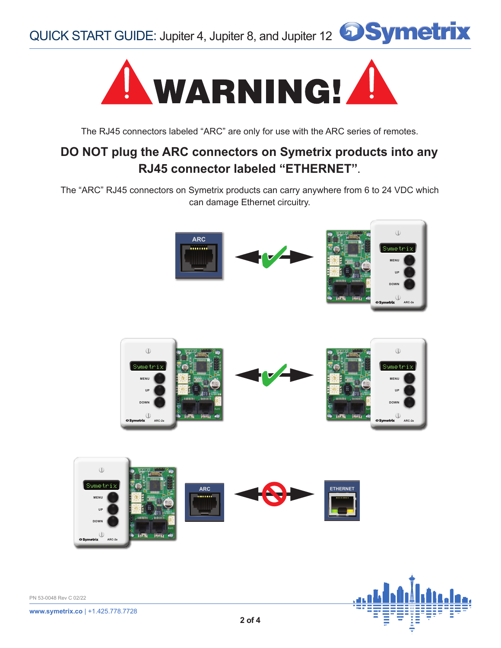



The RJ45 connectors labeled "ARC" are only for use with the ARC series of remotes.

# **DO NOT plug the ARC connectors on Symetrix products into any RJ45 connector labeled "ETHERNET".**

The "ARC" RJ45 connectors on Symetrix products can carry anywhere from 6 to 24 VDC which can damage Ethernet circuitry.

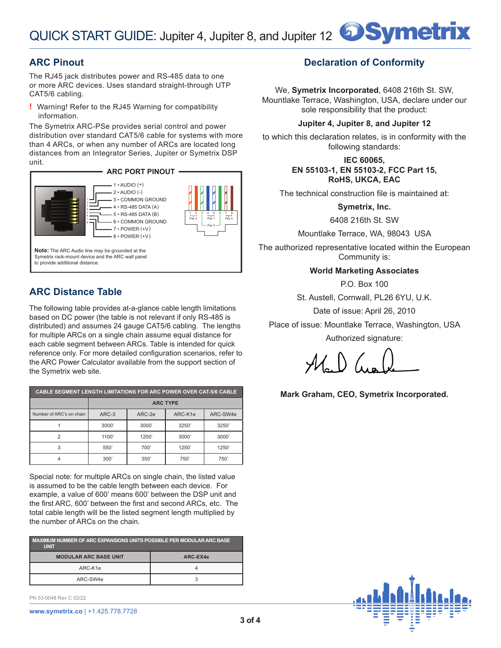# **ARC Pinout**

The RJ45 jack distributes power and RS-485 data to one or more ARC devices. Uses standard straight-through UTP CAT5/6 cabling.

**!** Warning! Refer to the RJ45 Warning for compatibility information.

The Symetrix ARC-PSe provides serial control and power distribution over standard CAT5/6 cable for systems with more than 4 ARCs, or when any number of ARCs are located long distances from an Integrator Series, Jupiter or Symetrix DSP unit.



# **ARC Distance Table**

The following table provides at-a-glance cable length limitations based on DC power (the table is not relevant if only RS-485 is distributed) and assumes 24 gauge CAT5/6 cabling. The lengths for multiple ARCs on a single chain assume equal distance for each cable segment between ARCs. Table is intended for quick reference only. For more detailed configuration scenarios, refer to the ARC Power Calculator available from the support section of the Symetrix web site.

| <b>CABLE SEGMENT LENGTH LIMITATIONS FOR ARC POWER OVER CAT-5/6 CABLE</b> |                 |        |         |          |  |  |
|--------------------------------------------------------------------------|-----------------|--------|---------|----------|--|--|
|                                                                          | <b>ARC TYPE</b> |        |         |          |  |  |
| Number of ARC's on chain                                                 | ARC-3           | ARC-2e | ARC-K1e | ARC-SW4e |  |  |
|                                                                          | 3000'           | 3000'  | 3250    | 3250     |  |  |
| 2                                                                        | 1100            | 1200'  | 3000'   | 3000'    |  |  |
| 3                                                                        | 550             | 700'   | 1250'   | 1250'    |  |  |
|                                                                          | 300'            | 350'   | 750'    | 750      |  |  |

Special note: for multiple ARCs on single chain, the listed value is assumed to be the cable length between each device. For example, a value of 600' means 600' between the DSP unit and the first ARC, 600' between the first and second ARCs, etc. The total cable length will be the listed segment length multiplied by the number of ARCs on the chain.

| MAXIMUM NUMBER OF ARC EXPANSIONS UNITS POSSIBLE PER MODULAR ARC BASE<br><b>UNIT</b> |          |  |  |  |
|-------------------------------------------------------------------------------------|----------|--|--|--|
| <b>MODULAR ARC BASE UNIT</b>                                                        | ARC-EX4e |  |  |  |
| ARC-K1e                                                                             |          |  |  |  |
| ARC-SW4e                                                                            |          |  |  |  |

PN 53-0048 Rev C 02/22



# **Declaration of Conformity**

We, **Symetrix Incorporated**, 6408 216th St. SW, Mountlake Terrace, Washington, USA, declare under our sole responsibility that the product:

#### **Jupiter 4, Jupiter 8, and Jupiter 12**

to which this declaration relates, is in conformity with the following standards:

### **IEC 60065, EN 55103-1, EN 55103-2, FCC Part 15, RoHS, UKCA, EAC**

The technical construction file is maintained at:

**Symetrix, Inc.**

6408 216th St. SW

Mountlake Terrace, WA, 98043 USA

The authorized representative located within the European Community is:

### **World Marketing Associates**

P.O. Box 100

St. Austell, Cornwall, PL26 6YU, U.K.

Date of issue: April 26, 2010

Place of issue: Mountlake Terrace, Washington, USA Authorized signature:

**Mark Graham, CEO, Symetrix Incorporated.**